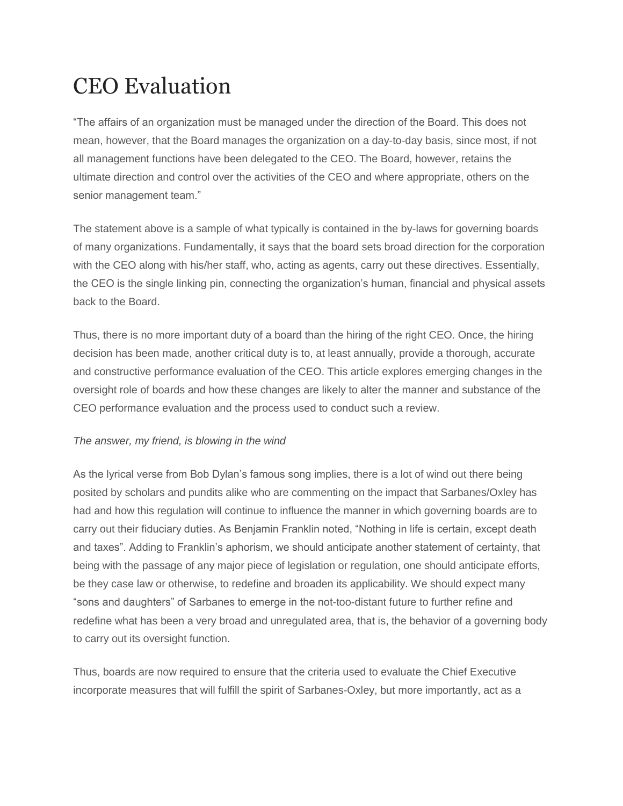# CEO Evaluation

"The affairs of an organization must be managed under the direction of the Board. This does not mean, however, that the Board manages the organization on a day-to-day basis, since most, if not all management functions have been delegated to the CEO. The Board, however, retains the ultimate direction and control over the activities of the CEO and where appropriate, others on the senior management team."

The statement above is a sample of what typically is contained in the by-laws for governing boards of many organizations. Fundamentally, it says that the board sets broad direction for the corporation with the CEO along with his/her staff, who, acting as agents, carry out these directives. Essentially, the CEO is the single linking pin, connecting the organization's human, financial and physical assets back to the Board.

Thus, there is no more important duty of a board than the hiring of the right CEO. Once, the hiring decision has been made, another critical duty is to, at least annually, provide a thorough, accurate and constructive performance evaluation of the CEO. This article explores emerging changes in the oversight role of boards and how these changes are likely to alter the manner and substance of the CEO performance evaluation and the process used to conduct such a review.

#### *The answer, my friend, is blowing in the wind*

As the lyrical verse from Bob Dylan's famous song implies, there is a lot of wind out there being posited by scholars and pundits alike who are commenting on the impact that Sarbanes/Oxley has had and how this regulation will continue to influence the manner in which governing boards are to carry out their fiduciary duties. As Benjamin Franklin noted, "Nothing in life is certain, except death and taxes". Adding to Franklin's aphorism, we should anticipate another statement of certainty, that being with the passage of any major piece of legislation or regulation, one should anticipate efforts, be they case law or otherwise, to redefine and broaden its applicability. We should expect many "sons and daughters" of Sarbanes to emerge in the not-too-distant future to further refine and redefine what has been a very broad and unregulated area, that is, the behavior of a governing body to carry out its oversight function.

Thus, boards are now required to ensure that the criteria used to evaluate the Chief Executive incorporate measures that will fulfill the spirit of Sarbanes-Oxley, but more importantly, act as a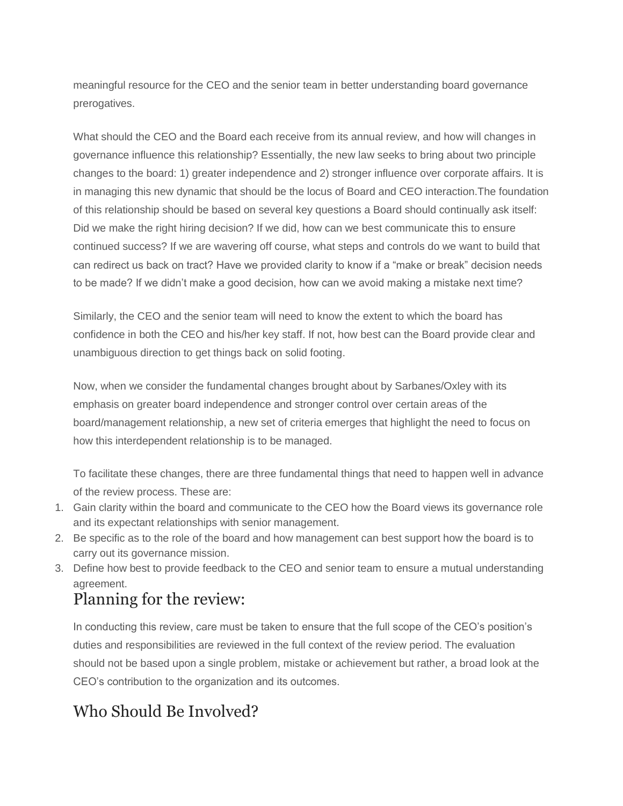meaningful resource for the CEO and the senior team in better understanding board governance prerogatives.

What should the CEO and the Board each receive from its annual review, and how will changes in governance influence this relationship? Essentially, the new law seeks to bring about two principle changes to the board: 1) greater independence and 2) stronger influence over corporate affairs. It is in managing this new dynamic that should be the locus of Board and CEO interaction.The foundation of this relationship should be based on several key questions a Board should continually ask itself: Did we make the right hiring decision? If we did, how can we best communicate this to ensure continued success? If we are wavering off course, what steps and controls do we want to build that can redirect us back on tract? Have we provided clarity to know if a "make or break" decision needs to be made? If we didn't make a good decision, how can we avoid making a mistake next time?

Similarly, the CEO and the senior team will need to know the extent to which the board has confidence in both the CEO and his/her key staff. If not, how best can the Board provide clear and unambiguous direction to get things back on solid footing.

Now, when we consider the fundamental changes brought about by Sarbanes/Oxley with its emphasis on greater board independence and stronger control over certain areas of the board/management relationship, a new set of criteria emerges that highlight the need to focus on how this interdependent relationship is to be managed.

To facilitate these changes, there are three fundamental things that need to happen well in advance of the review process. These are:

- 1. Gain clarity within the board and communicate to the CEO how the Board views its governance role and its expectant relationships with senior management.
- 2. Be specific as to the role of the board and how management can best support how the board is to carry out its governance mission.
- 3. Define how best to provide feedback to the CEO and senior team to ensure a mutual understanding agreement.

#### Planning for the review:

In conducting this review, care must be taken to ensure that the full scope of the CEO's position's duties and responsibilities are reviewed in the full context of the review period. The evaluation should not be based upon a single problem, mistake or achievement but rather, a broad look at the CEO's contribution to the organization and its outcomes.

### Who Should Be Involved?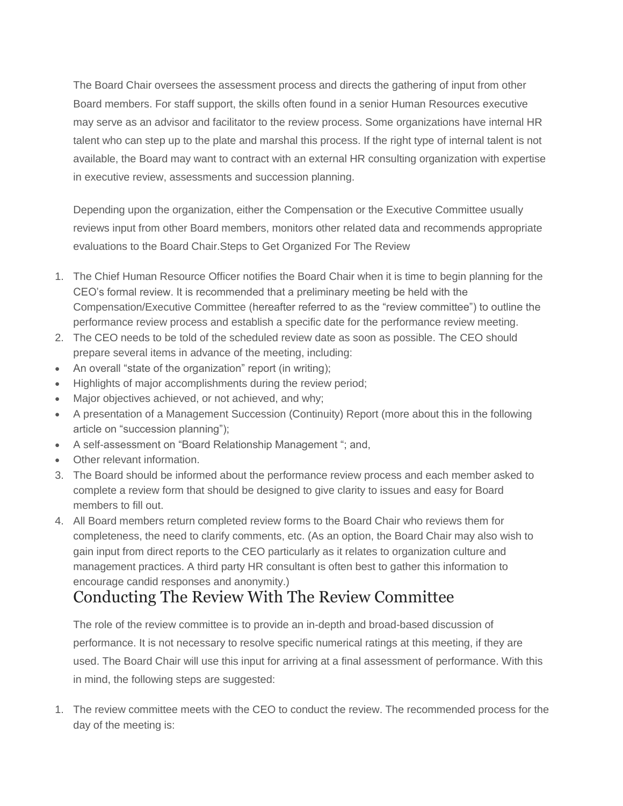The Board Chair oversees the assessment process and directs the gathering of input from other Board members. For staff support, the skills often found in a senior Human Resources executive may serve as an advisor and facilitator to the review process. Some organizations have internal HR talent who can step up to the plate and marshal this process. If the right type of internal talent is not available, the Board may want to contract with an external HR consulting organization with expertise in executive review, assessments and succession planning.

Depending upon the organization, either the Compensation or the Executive Committee usually reviews input from other Board members, monitors other related data and recommends appropriate evaluations to the Board Chair.Steps to Get Organized For The Review

- 1. The Chief Human Resource Officer notifies the Board Chair when it is time to begin planning for the CEO's formal review. It is recommended that a preliminary meeting be held with the Compensation/Executive Committee (hereafter referred to as the "review committee") to outline the performance review process and establish a specific date for the performance review meeting.
- 2. The CEO needs to be told of the scheduled review date as soon as possible. The CEO should prepare several items in advance of the meeting, including:
- An overall "state of the organization" report (in writing);
- Highlights of major accomplishments during the review period;
- Major objectives achieved, or not achieved, and why;
- A presentation of a Management Succession (Continuity) Report (more about this in the following article on "succession planning");
- A self-assessment on "Board Relationship Management "; and,
- Other relevant information.
- 3. The Board should be informed about the performance review process and each member asked to complete a review form that should be designed to give clarity to issues and easy for Board members to fill out.
- 4. All Board members return completed review forms to the Board Chair who reviews them for completeness, the need to clarify comments, etc. (As an option, the Board Chair may also wish to gain input from direct reports to the CEO particularly as it relates to organization culture and management practices. A third party HR consultant is often best to gather this information to encourage candid responses and anonymity.)

## Conducting The Review With The Review Committee

The role of the review committee is to provide an in-depth and broad-based discussion of performance. It is not necessary to resolve specific numerical ratings at this meeting, if they are used. The Board Chair will use this input for arriving at a final assessment of performance. With this in mind, the following steps are suggested:

1. The review committee meets with the CEO to conduct the review. The recommended process for the day of the meeting is: